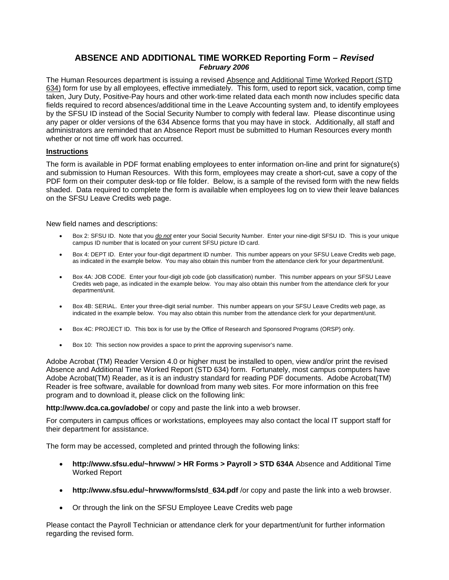## **ABSENCE AND ADDITIONAL TIME WORKED Reporting Form –** *Revised February 2006*

The Human Resources department is issuing a revised Absence and Additional Time Worked Report (STD 634) form for use by all employees, effective immediately. This form, used to report sick, vacation, comp time taken, Jury Duty, Positive-Pay hours and other work-time related data each month now includes specific data fields required to record absences/additional time in the Leave Accounting system and, to identify employees by the SFSU ID instead of the Social Security Number to comply with federal law. Please discontinue using any paper or older versions of the 634 Absence forms that you may have in stock. Additionally, all staff and administrators are reminded that an Absence Report must be submitted to Human Resources every month whether or not time off work has occurred.

## **Instructions**

The form is available in PDF format enabling employees to enter information on-line and print for signature(s) and submission to Human Resources. With this form, employees may create a short-cut, save a copy of the PDF form on their computer desk-top or file folder. Below, is a sample of the revised form with the new fields shaded. Data required to complete the form is available when employees log on to view their leave balances on the SFSU Leave Credits web page.

New field names and descriptions:

- Box 2: SFSU ID. Note that you *do not* enter your Social Security Number. Enter your nine-digit SFSU ID. This is your unique campus ID number that is located on your current SFSU picture ID card.
- Box 4: DEPT ID. Enter your four-digit department ID number. This number appears on your SFSU Leave Credits web page, as indicated in the example below. You may also obtain this number from the attendance clerk for your department/unit.
- Credits web page, as indicated in the example below. You may also obtain this number from the attendance clerk for your Box 4A: JOB CODE. Enter your four-digit job code (job classification) number. This number appears on your SFSU Leave department/unit.
- Box 4B: SERIAL. Enter your three-digit serial number. This number appears on your SFSU Leave Credits web page, as indicated in the example below. You may also obtain this number from the attendance clerk for your department/unit.
- Box 4C: PROJECT ID. This box is for use by the Office of Research and Sponsored Programs (ORSP) only.
- • Box 10: This section now provides a space to print the approving supervisor's name.

Adobe Acrobat (TM) Reader Version 4.0 or higher must be installed to open, view and/or print the revised Absence and Additional Time Worked Report (STD 634) form. Fortunately, most campus computers have Adobe Acrobat(TM) Reader, as it is an industry standard for reading PDF documents. Adobe Acrobat(TM) Reader is free software, available for download from many web sites. For more information on this free program and to download it, please click on the following link:

**http://www.dca.ca.gov/adobe/** or copy and paste the link into a web browser.

For computers in campus offices or workstations, employees may also contact the local IT support staff for their department for assistance.

The form may be accessed, completed and printed through the following links:

- • **http://www.sfsu.edu/~hrwww/ > HR Forms > Payroll > STD 634A** Absence and Additional Time Worked Report
- http://www.sfsu.edu/~hrwww/forms/std 634.pdf /or copy and paste the link into a web browser.
- Or through the link on the SFSU Employee Leave Credits web page

Please contact the Payroll Technician or attendance clerk for your department/unit for further information regarding the revised form.